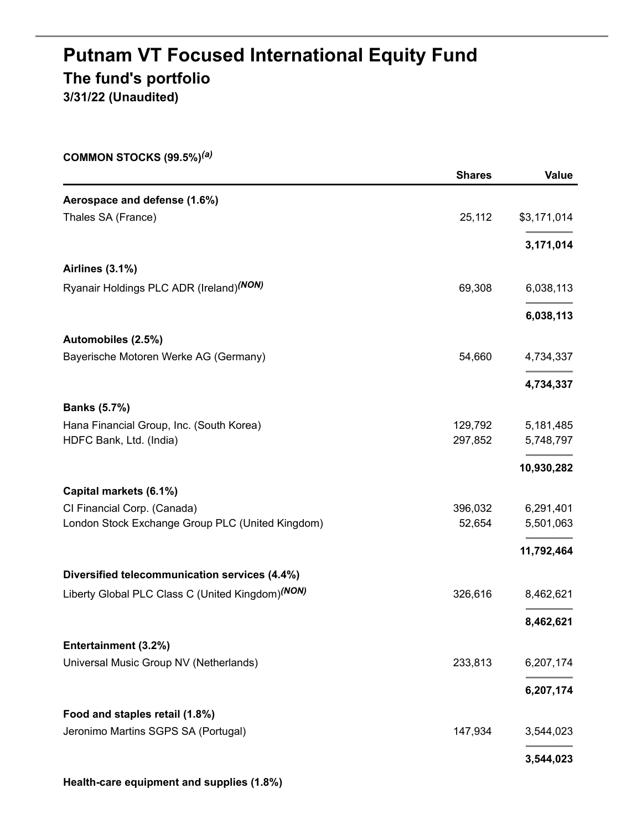# **Putnam VT Focused International Equity Fund The fund's portfolio 3/31/22 (Unaudited)**

**COMMON STOCKS (99.5%)** *(a)*

|                                                              | <b>Shares</b> | Value       |
|--------------------------------------------------------------|---------------|-------------|
| Aerospace and defense (1.6%)                                 |               |             |
| Thales SA (France)                                           | 25,112        | \$3,171,014 |
|                                                              |               | 3,171,014   |
| <b>Airlines (3.1%)</b>                                       |               |             |
| Ryanair Holdings PLC ADR (Ireland) <sup>(NON)</sup>          | 69,308        | 6,038,113   |
|                                                              |               | 6,038,113   |
| Automobiles (2.5%)                                           |               |             |
| Bayerische Motoren Werke AG (Germany)                        | 54,660        | 4,734,337   |
|                                                              |               | 4,734,337   |
| <b>Banks (5.7%)</b>                                          |               |             |
| Hana Financial Group, Inc. (South Korea)                     | 129,792       | 5,181,485   |
| HDFC Bank, Ltd. (India)                                      | 297,852       | 5,748,797   |
|                                                              |               | 10,930,282  |
| Capital markets (6.1%)                                       |               |             |
| CI Financial Corp. (Canada)                                  | 396,032       | 6,291,401   |
| London Stock Exchange Group PLC (United Kingdom)             | 52,654        | 5,501,063   |
|                                                              |               | 11,792,464  |
| Diversified telecommunication services (4.4%)                |               |             |
| Liberty Global PLC Class C (United Kingdom) <sup>(NON)</sup> | 326,616       | 8,462,621   |
|                                                              |               | 8,462,621   |
| Entertainment (3.2%)                                         |               |             |
| Universal Music Group NV (Netherlands)                       | 233,813       | 6,207,174   |
|                                                              |               | 6,207,174   |
| Food and staples retail (1.8%)                               |               |             |
| Jeronimo Martins SGPS SA (Portugal)                          | 147,934       | 3,544,023   |
|                                                              |               | 3,544,023   |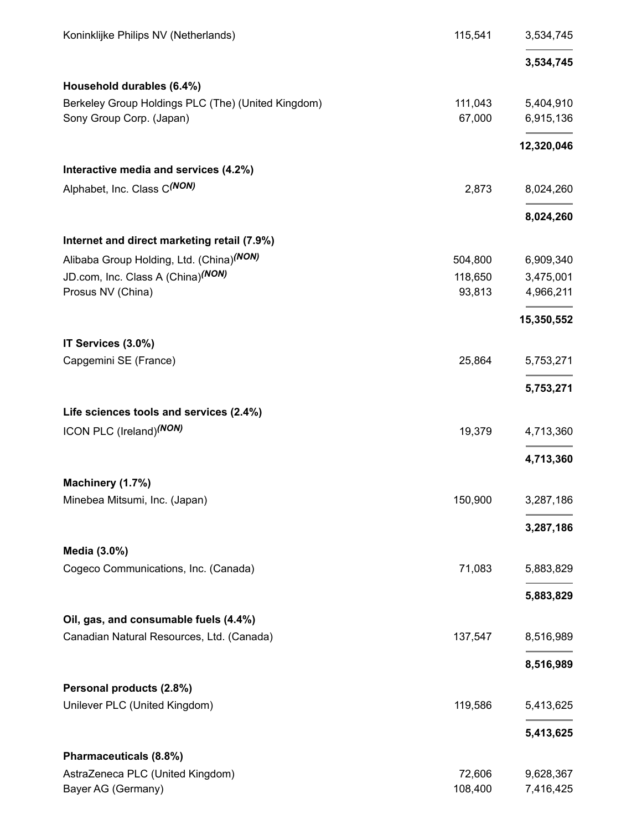| Koninklijke Philips NV (Netherlands)               | 115,541 | 3,534,745  |
|----------------------------------------------------|---------|------------|
|                                                    |         | 3,534,745  |
| Household durables (6.4%)                          |         |            |
| Berkeley Group Holdings PLC (The) (United Kingdom) | 111,043 | 5,404,910  |
| Sony Group Corp. (Japan)                           | 67,000  | 6,915,136  |
|                                                    |         | 12,320,046 |
| Interactive media and services (4.2%)              |         |            |
| Alphabet, Inc. Class C(NON)                        | 2,873   | 8,024,260  |
|                                                    |         | 8,024,260  |
| Internet and direct marketing retail (7.9%)        |         |            |
| Alibaba Group Holding, Ltd. (China)(NON)           | 504,800 | 6,909,340  |
| JD.com, Inc. Class A (China) <sup>(NON)</sup>      | 118,650 | 3,475,001  |
| Prosus NV (China)                                  | 93,813  | 4,966,211  |
|                                                    |         | 15,350,552 |
| IT Services (3.0%)                                 |         |            |
| Capgemini SE (France)                              | 25,864  | 5,753,271  |
|                                                    |         | 5,753,271  |
| Life sciences tools and services (2.4%)            |         |            |
| ICON PLC (Ireland) <sup>(NON)</sup>                | 19,379  | 4,713,360  |
|                                                    |         | 4,713,360  |
| Machinery (1.7%)                                   |         |            |
| Minebea Mitsumi, Inc. (Japan)                      | 150,900 | 3,287,186  |
|                                                    |         | 3,287,186  |
| Media (3.0%)                                       |         |            |
| Cogeco Communications, Inc. (Canada)               | 71,083  | 5,883,829  |
|                                                    |         | 5,883,829  |
| Oil, gas, and consumable fuels (4.4%)              |         |            |
| Canadian Natural Resources, Ltd. (Canada)          | 137,547 | 8,516,989  |
|                                                    |         | 8,516,989  |
| Personal products (2.8%)                           |         |            |
| Unilever PLC (United Kingdom)                      | 119,586 | 5,413,625  |
|                                                    |         | 5,413,625  |
| Pharmaceuticals (8.8%)                             |         |            |
| AstraZeneca PLC (United Kingdom)                   | 72,606  | 9,628,367  |
| Bayer AG (Germany)                                 | 108,400 | 7,416,425  |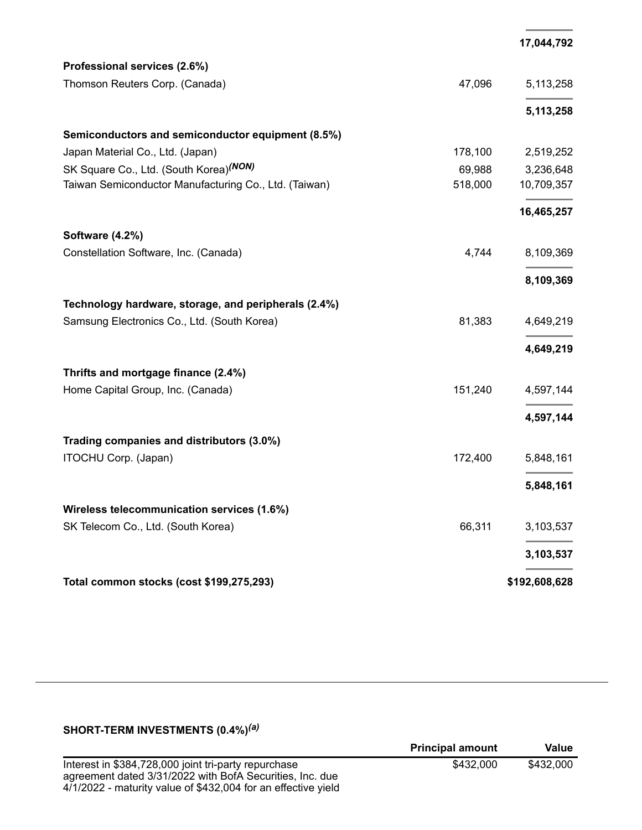|                                                       |         | 17,044,792    |
|-------------------------------------------------------|---------|---------------|
| Professional services (2.6%)                          |         |               |
| Thomson Reuters Corp. (Canada)                        | 47,096  | 5,113,258     |
|                                                       |         | 5,113,258     |
| Semiconductors and semiconductor equipment (8.5%)     |         |               |
| Japan Material Co., Ltd. (Japan)                      | 178,100 | 2,519,252     |
| SK Square Co., Ltd. (South Korea)(NON)                | 69,988  | 3,236,648     |
| Taiwan Semiconductor Manufacturing Co., Ltd. (Taiwan) | 518,000 | 10,709,357    |
|                                                       |         | 16,465,257    |
| Software (4.2%)                                       |         |               |
| Constellation Software, Inc. (Canada)                 | 4,744   | 8,109,369     |
|                                                       |         | 8,109,369     |
| Technology hardware, storage, and peripherals (2.4%)  |         |               |
| Samsung Electronics Co., Ltd. (South Korea)           | 81,383  | 4,649,219     |
|                                                       |         | 4,649,219     |
| Thrifts and mortgage finance (2.4%)                   |         |               |
| Home Capital Group, Inc. (Canada)                     | 151,240 | 4,597,144     |
|                                                       |         | 4,597,144     |
| Trading companies and distributors (3.0%)             |         |               |
| ITOCHU Corp. (Japan)                                  | 172,400 | 5,848,161     |
|                                                       |         | 5,848,161     |
| Wireless telecommunication services (1.6%)            |         |               |
| SK Telecom Co., Ltd. (South Korea)                    | 66,311  | 3,103,537     |
|                                                       |         | 3,103,537     |
| Total common stocks (cost \$199,275,293)              |         | \$192,608,628 |

#### **SHORT-TERM INVESTMENTS (0.4%)** *(a)*

| <b>Principal amount</b> | Value     |
|-------------------------|-----------|
| \$432,000               | \$432,000 |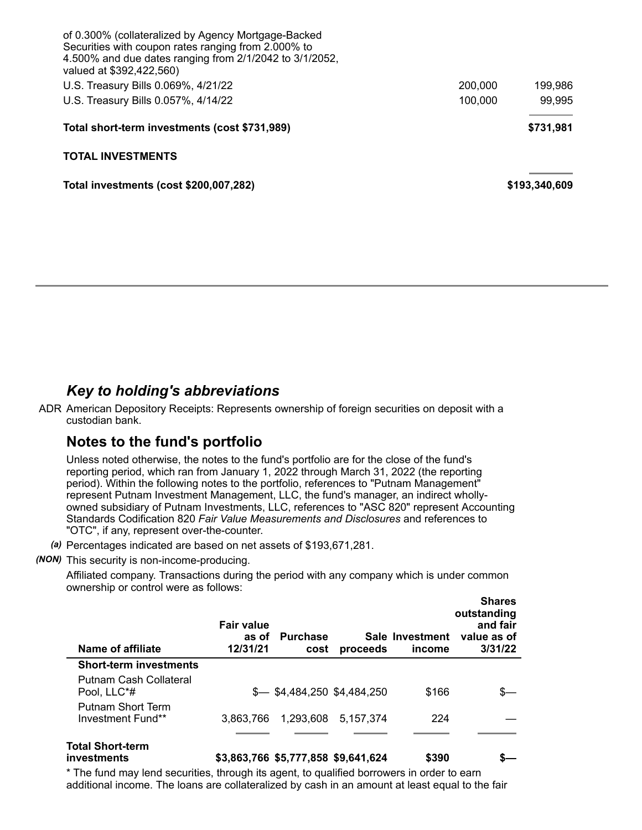| of 0.300% (collateralized by Agency Mortgage-Backed<br>Securities with coupon rates ranging from 2.000% to<br>4.500% and due dates ranging from 2/1/2042 to 3/1/2052,<br>valued at \$392,422,560) |         |               |
|---------------------------------------------------------------------------------------------------------------------------------------------------------------------------------------------------|---------|---------------|
| U.S. Treasury Bills 0.069%, 4/21/22                                                                                                                                                               | 200,000 | 199.986       |
| U.S. Treasury Bills 0.057%, 4/14/22                                                                                                                                                               | 100,000 | 99,995        |
| Total short-term investments (cost \$731,989)                                                                                                                                                     |         | \$731.981     |
| <b>TOTAL INVESTMENTS</b>                                                                                                                                                                          |         |               |
| Total investments (cost \$200,007,282)                                                                                                                                                            |         | \$193,340,609 |

### *Key to holding's abbreviations*

ADR American Depository Receipts: Represents ownership of foreign securities on deposit with a custodian bank.

## **Notes to the fund's portfolio**

Unless noted otherwise, the notes to the fund's portfolio are for the close of the fund's reporting period, which ran from January 1, 2022 through March 31, 2022 (the reporting period). Within the following notes to the portfolio, references to "Putnam Management" represent Putnam Investment Management, LLC, the fund's manager, an indirect whollyowned subsidiary of Putnam Investments, LLC, references to "ASC 820" represent Accounting Standards Codification 820 *Fair Value Measurements and Disclosures* and references to "OTC", if any, represent over-the-counter.

- *(a)* Percentages indicated are based on net assets of \$193,671,281.
- *(NON)* This security is non-income-producing.

Affiliated company. Transactions during the period with any company which is under common ownership or control were as follows:

| Name of affiliate                             | <b>Fair value</b><br>as of<br>12/31/21 | <b>Purchase</b><br>cost             | proceeds  | Sale Investment<br>income | <b>Shares</b><br>outstanding<br>and fair<br>value as of<br>3/31/22 |
|-----------------------------------------------|----------------------------------------|-------------------------------------|-----------|---------------------------|--------------------------------------------------------------------|
| <b>Short-term investments</b>                 |                                        |                                     |           |                           |                                                                    |
| Putnam Cash Collateral<br>Pool, LLC*#         |                                        | $$-.$ \$4,484,250 \$4,484,250       |           | \$166                     |                                                                    |
| <b>Putnam Short Term</b><br>Investment Fund** | 3.863.766                              | 1,293,608                           | 5.157.374 | 224                       |                                                                    |
| <b>Total Short-term</b><br>investments        |                                        | \$3,863,766 \$5,777,858 \$9,641,624 |           | \$390                     |                                                                    |

\* The fund may lend securities, through its agent, to qualified borrowers in order to earn additional income. The loans are collateralized by cash in an amount at least equal to the fair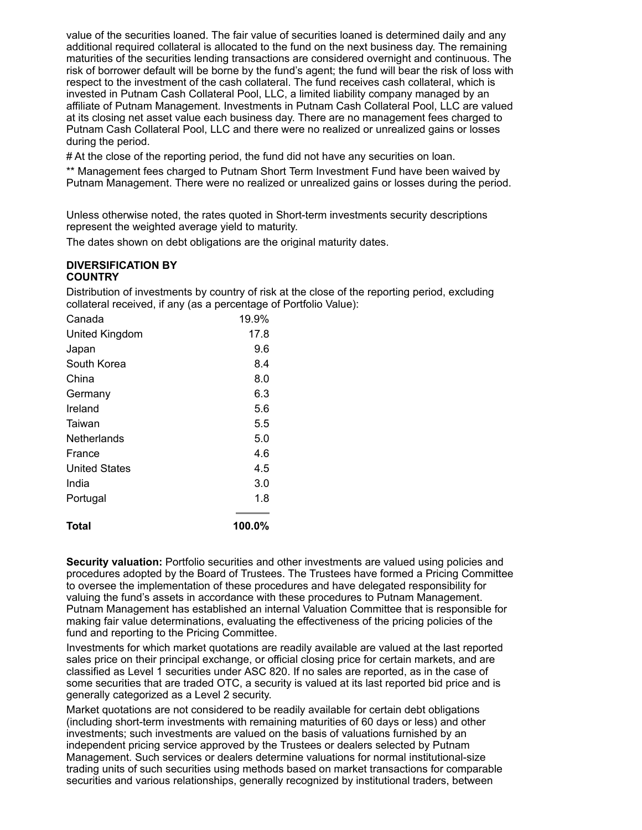value of the securities loaned. The fair value of securities loaned is determined daily and any additional required collateral is allocated to the fund on the next business day. The remaining maturities of the securities lending transactions are considered overnight and continuous. The risk of borrower default will be borne by the fund's agent; the fund will bear the risk of loss with respect to the investment of the cash collateral. The fund receives cash collateral, which is invested in Putnam Cash Collateral Pool, LLC, a limited liability company managed by an affiliate of Putnam Management. Investments in Putnam Cash Collateral Pool, LLC are valued at its closing net asset value each business day. There are no management fees charged to Putnam Cash Collateral Pool, LLC and there were no realized or unrealized gains or losses during the period.

# At the close of the reporting period, the fund did not have any securities on loan.

\*\* Management fees charged to Putnam Short Term Investment Fund have been waived by Putnam Management. There were no realized or unrealized gains or losses during the period.

Unless otherwise noted, the rates quoted in Short-term investments security descriptions represent the weighted average yield to maturity.

The dates shown on debt obligations are the original maturity dates.

#### **DIVERSIFICATION BY COUNTRY**

Distribution of investments by country of risk at the close of the reporting period, excluding collateral received, if any (as a percentage of Portfolio Value):

| Canada               | 19.9%  |
|----------------------|--------|
| United Kingdom       | 17.8   |
| Japan                | 9.6    |
| South Korea          | 8.4    |
| China                | 8.0    |
| Germany              | 6.3    |
| Ireland              | 5.6    |
| Taiwan               | 5.5    |
| Netherlands          | 5.0    |
| France               | 4.6    |
| <b>United States</b> | 4.5    |
| India                | 3.0    |
| Portugal             | 1.8    |
| Total                | 100.0% |

**Security valuation:** Portfolio securities and other investments are valued using policies and procedures adopted by the Board of Trustees. The Trustees have formed a Pricing Committee to oversee the implementation of these procedures and have delegated responsibility for valuing the fund's assets in accordance with these procedures to Putnam Management. Putnam Management has established an internal Valuation Committee that is responsible for making fair value determinations, evaluating the effectiveness of the pricing policies of the fund and reporting to the Pricing Committee.

Investments for which market quotations are readily available are valued at the last reported sales price on their principal exchange, or official closing price for certain markets, and are classified as Level 1 securities under ASC 820. If no sales are reported, as in the case of some securities that are traded OTC, a security is valued at its last reported bid price and is generally categorized as a Level 2 security.

Market quotations are not considered to be readily available for certain debt obligations (including short-term investments with remaining maturities of 60 days or less) and other investments; such investments are valued on the basis of valuations furnished by an independent pricing service approved by the Trustees or dealers selected by Putnam Management. Such services or dealers determine valuations for normal institutional-size trading units of such securities using methods based on market transactions for comparable securities and various relationships, generally recognized by institutional traders, between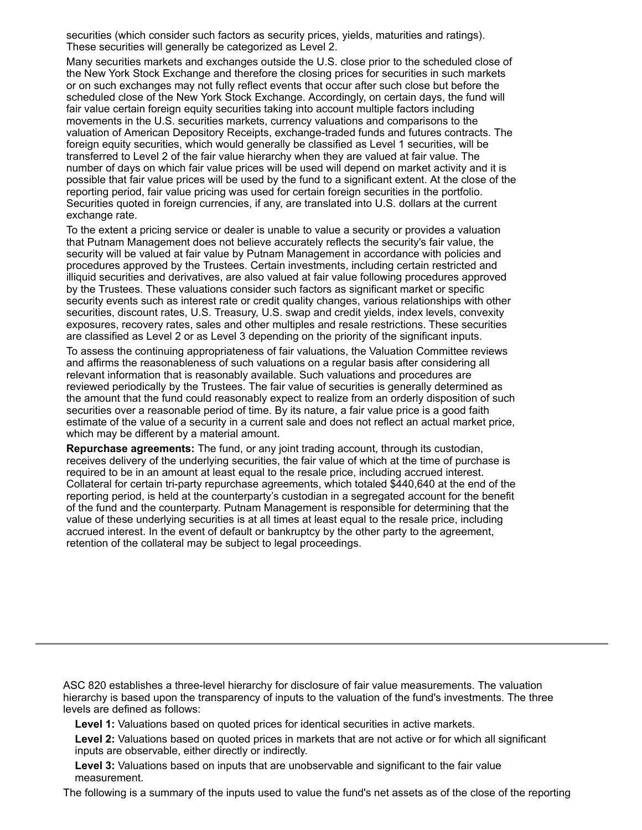securities (which consider such factors as security prices, yields, maturities and ratings). These securities will generally be categorized as Level 2.

Many securities markets and exchanges outside the U.S. close prior to the scheduled close of the New York Stock Exchange and therefore the closing prices for securities in such markets or on such exchanges may not fully reflect events that occur after such close but before the scheduled close of the New York Stock Exchange. Accordingly, on certain days, the fund will fair value certain foreign equity securities taking into account multiple factors including movements in the U.S. securities markets, currency valuations and comparisons to the valuation of American Depository Receipts, exchange-traded funds and futures contracts. The foreign equity securities, which would generally be classified as Level 1 securities, will be transferred to Level 2 of the fair value hierarchy when they are valued at fair value. The number of days on which fair value prices will be used will depend on market activity and it is possible that fair value prices will be used by the fund to a significant extent. At the close of the reporting period, fair value pricing was used for certain foreign securities in the portfolio. Securities quoted in foreign currencies, if any, are translated into U.S. dollars at the current exchange rate.

To the extent a pricing service or dealer is unable to value a security or provides a valuation that Putnam Management does not believe accurately reflects the security's fair value, the security will be valued at fair value by Putnam Management in accordance with policies and procedures approved by the Trustees. Certain investments, including certain restricted and illiquid securities and derivatives, are also valued at fair value following procedures approved by the Trustees. These valuations consider such factors as significant market or specific security events such as interest rate or credit quality changes, various relationships with other securities, discount rates, U.S. Treasury, U.S. swap and credit yields, index levels, convexity exposures, recovery rates, sales and other multiples and resale restrictions. These securities are classified as Level 2 or as Level 3 depending on the priority of the significant inputs.

To assess the continuing appropriateness of fair valuations, the Valuation Committee reviews and affirms the reasonableness of such valuations on a regular basis after considering all relevant information that is reasonably available. Such valuations and procedures are reviewed periodically by the Trustees. The fair value of securities is generally determined as the amount that the fund could reasonably expect to realize from an orderly disposition of such securities over a reasonable period of time. By its nature, a fair value price is a good faith estimate of the value of a security in a current sale and does not reflect an actual market price, which may be different by a material amount.

**Repurchase agreements:** The fund, or any joint trading account, through its custodian, receives delivery of the underlying securities, the fair value of which at the time of purchase is required to be in an amount at least equal to the resale price, including accrued interest. Collateral for certain tri-party repurchase agreements, which totaled \$440,640 at the end of the reporting period, is held at the counterparty's custodian in a segregated account for the benefit of the fund and the counterparty. Putnam Management is responsible for determining that the value of these underlying securities is at all times at least equal to the resale price, including accrued interest. In the event of default or bankruptcy by the other party to the agreement, retention of the collateral may be subject to legal proceedings.

ASC 820 establishes a three-level hierarchy for disclosure of fair value measurements. The valuation hierarchy is based upon the transparency of inputs to the valuation of the fund's investments. The three levels are defined as follows:

**Level 1:** Valuations based on quoted prices for identical securities in active markets.

**Level 2:** Valuations based on quoted prices in markets that are not active or for which all significant inputs are observable, either directly or indirectly.

**Level 3:** Valuations based on inputs that are unobservable and significant to the fair value measurement.

The following is a summary of the inputs used to value the fund's net assets as of the close of the reporting